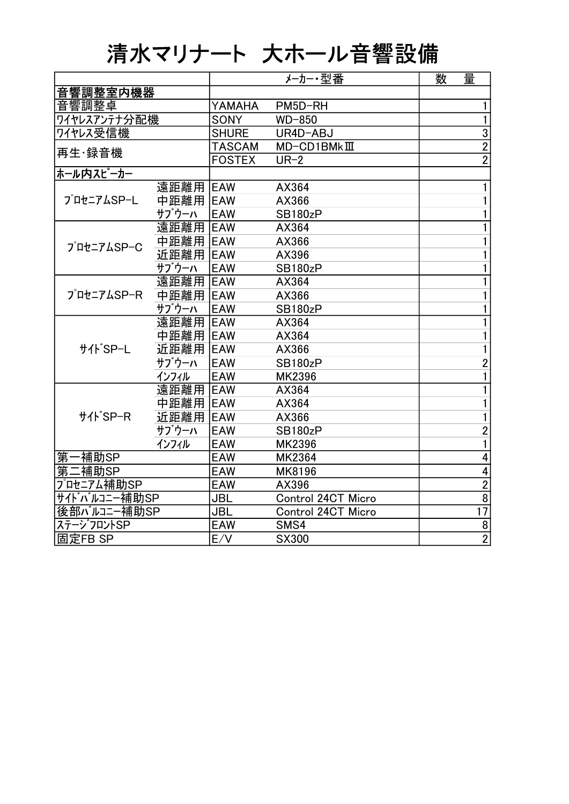## 清水マリナート 大ホール音響設備

|                |           |               | メーカー・型番                    | 数 | 量               |
|----------------|-----------|---------------|----------------------------|---|-----------------|
| 音響調整室内機器       |           |               |                            |   |                 |
| 音響調整卓          |           | YAMAHA        | PM5D-RH                    |   | 1               |
| ワイヤレスアンテナ分配機   |           | <b>SONY</b>   | WD-850                     |   | $\mathbf{1}$    |
| ワイヤレス受信機       |           | <b>SHURE</b>  | UR4D-ABJ                   |   | $\overline{3}$  |
| 再生·録音機         |           | <b>TASCAM</b> | $MD$ -CD1BMk $\rm I\!I\!I$ |   | $\overline{2}$  |
|                |           | <b>FOSTEX</b> | $UR-2$                     |   | $\overline{2}$  |
| ホール内スピーカー      |           |               |                            |   |                 |
|                | 遠距離用      | <b>EAW</b>    | AX364                      |   |                 |
| プロセニアムSP-L     | 中距離用      | <b>IEAW</b>   | AX366                      |   | 1               |
|                | サブウーハ     | <b>EAW</b>    | SB180zP                    |   | 1               |
|                | 遠距離用      | <b>IEAW</b>   | AX364                      |   | 1               |
| プロセニアムSP-C     | 中距離用 IEAW |               | AX366                      |   | 1               |
|                | 近距離用      | <b>EAW</b>    | AX396                      |   |                 |
|                | サブウーハ     | <b>EAW</b>    | SB180zP                    |   | 1               |
|                | 遠距離用      | <b>EAW</b>    | AX364                      |   | 1               |
| プロセニアムSP-R     | 中距離用 EAW  |               | AX366                      |   | 1               |
|                | サブウーハ     | <b>EAW</b>    | SB180zP                    |   | 1               |
|                | 遠距離用 EAW  |               | AX364                      |   | 1               |
|                | 中距離用 IEAW |               | AX364                      |   | 1               |
| <b>サイトSP-L</b> | 近距離用      | EAW           | AX366                      |   |                 |
|                | サブウーハ     | <b>EAW</b>    | <b>SB180zP</b>             |   | $\overline{2}$  |
|                | インフィル     | <b>EAW</b>    | <b>MK2396</b>              |   | 1               |
|                | 遠距離用      | <b>EAW</b>    | AX364                      |   | 1               |
| サイト SP-R       | 中距離用      | <b>EAW</b>    | AX364                      |   | 1               |
|                | 近距離用      | <b>EAW</b>    | AX366                      |   | 1               |
|                | サブウーハ     | <b>EAW</b>    | <b>SB180zP</b>             |   | $\overline{c}$  |
|                | インフィル     | <b>EAW</b>    | MK2396                     |   | 1               |
| ·補助SP<br>第     |           | <b>EAW</b>    | MK2364                     |   | 4               |
| 第二補助SP         |           | <b>EAW</b>    | MK8196                     |   | 4               |
| プロセニアム補助SP     |           | <b>EAW</b>    | AX396                      |   | $\overline{2}$  |
| サイドバルコニー補助SP   |           | <b>JBL</b>    | Control 24CT Micro         |   | $\overline{8}$  |
| 後部バルコニー補助SP    |           | <b>JBL</b>    | Control 24CT Micro         |   | $\overline{17}$ |
| ステージフロントSP     |           | <b>EAW</b>    | SMS4                       |   | $\overline{8}$  |
| 固定FB SP        |           | E/V           | <b>SX300</b>               |   | $\overline{2}$  |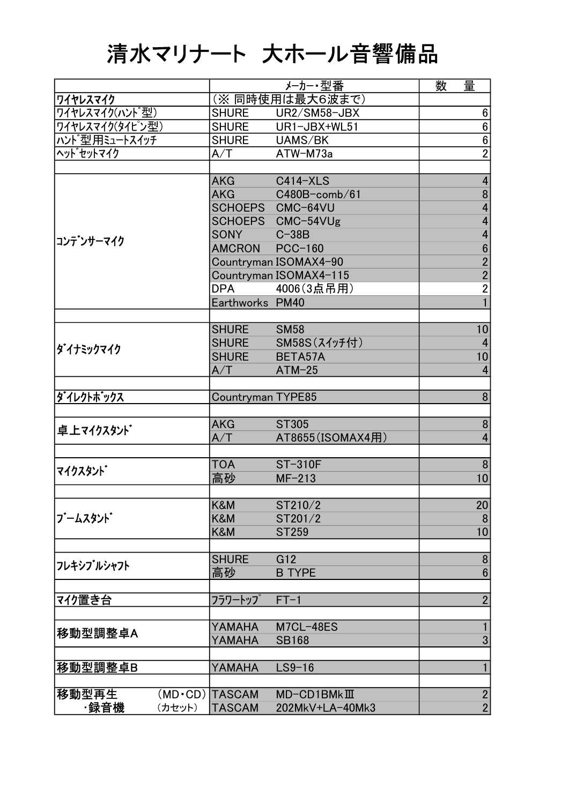## 清水マリナート 大ホール音響備品

|                 |                       |                   | メーカー・型番                    | 数 | 量                |
|-----------------|-----------------------|-------------------|----------------------------|---|------------------|
| ワイヤレスマイク        |                       |                   | (※同時使用は最大6波まで)             |   |                  |
| ワイヤレスマイク(ハント゛型) |                       | <b>SHURE</b>      | UR2/SM58-JBX               |   | 6                |
| ワイヤレスマイク(タイピン型) |                       | <b>SHURE</b>      | UR1-JBX+WL51               |   | $\bf 6$          |
| ハンド型用ミュートスイッチ   |                       | <b>SHURE</b>      | UAMS/BK                    |   | $\bf 6$          |
| ヘット゛セットマイク      |                       | A/T               | ATW-M73a                   |   | $\overline{2}$   |
|                 |                       |                   |                            |   |                  |
|                 |                       | <b>AKG</b>        | <b>C414-XLS</b>            |   | 4                |
|                 |                       | <b>AKG</b>        | $C480B$ -comb/61           |   | 8                |
|                 |                       |                   | SCHOEPS CMC-64VU           |   | 4                |
|                 |                       |                   | SCHOEPS CMC-54VUg          |   | 4                |
|                 |                       | <b>SONY</b>       | $C-38B$                    |   | 4                |
| コンテ゛ンサーマイク      |                       | AMCRON            | <b>PCC-160</b>             |   | $6\phantom{1}$   |
|                 |                       |                   | Countryman ISOMAX4-90      |   | $\overline{2}$   |
|                 |                       |                   | Countryman ISOMAX4-115     |   | $\overline{2}$   |
|                 |                       | <b>DPA</b>        | 4006(3点吊用)                 |   | $\overline{2}$   |
|                 |                       | Earthworks PM40   |                            |   |                  |
|                 |                       |                   |                            |   |                  |
|                 |                       | <b>SHURE</b>      | <b>SM58</b>                |   | 10               |
|                 |                       | <b>SHURE</b>      | SM58S(スイッチ付)               |   | 4                |
| ダイナミックマイク       |                       | <b>SHURE</b>      | BETA57A                    |   | 10               |
|                 |                       | A/T               | $ATM-25$                   |   | 4                |
|                 |                       |                   |                            |   |                  |
| ダイレクトボックス       |                       | Countryman TYPE85 |                            |   | 8                |
|                 |                       |                   |                            |   |                  |
|                 |                       | <b>AKG</b>        | <b>ST305</b>               |   | 8                |
| 卓上マイクスタント゛      |                       | A/T               | AT8655(ISOMAX4用)           |   | 4                |
|                 |                       |                   |                            |   |                  |
| マイクスタント゛        |                       | <b>TOA</b>        | <b>ST-310F</b>             |   | 8                |
|                 |                       | 高砂                | $MF-213$                   |   | 10               |
|                 |                       |                   |                            |   |                  |
|                 |                       | K&M               | ST210/2                    |   | 20 <sub>l</sub>  |
| ブームスタント         |                       | <b>K&amp;M</b>    | ST201/2                    |   | 8                |
|                 |                       | K&M               | ST259                      |   | 10               |
|                 |                       |                   |                            |   |                  |
| フレキシブルシャフト      |                       | <b>SHURE</b>      | G <sub>12</sub>            |   | 8                |
|                 |                       | 高砂                | <b>B TYPE</b>              |   | $6\phantom{1}6$  |
|                 |                       |                   |                            |   |                  |
| マイク置き台          |                       | フラワートップ           | $FT-1$                     |   | $\overline{2}$   |
|                 |                       |                   |                            |   |                  |
| 移動型調整卓A         |                       | YAMAHA            | M7CL-48ES                  |   | $\mathbf{1}$     |
|                 |                       | YAMAHA            | <b>SB168</b>               |   | 3                |
|                 |                       |                   |                            |   |                  |
| 移動型調整卓B         |                       | YAMAHA            | $LS9-16$                   |   | 1                |
|                 |                       |                   |                            |   |                  |
| 移動型再生           | $(MD\cdot CD)$ TASCAM |                   | $MD$ -CD1BMk $\rm I\!I\!I$ |   | $\boldsymbol{2}$ |
| ·録音機            | (カセット)                | <b>TASCAM</b>     | 202MkV+LA-40Mk3            |   | $\overline{2}$   |